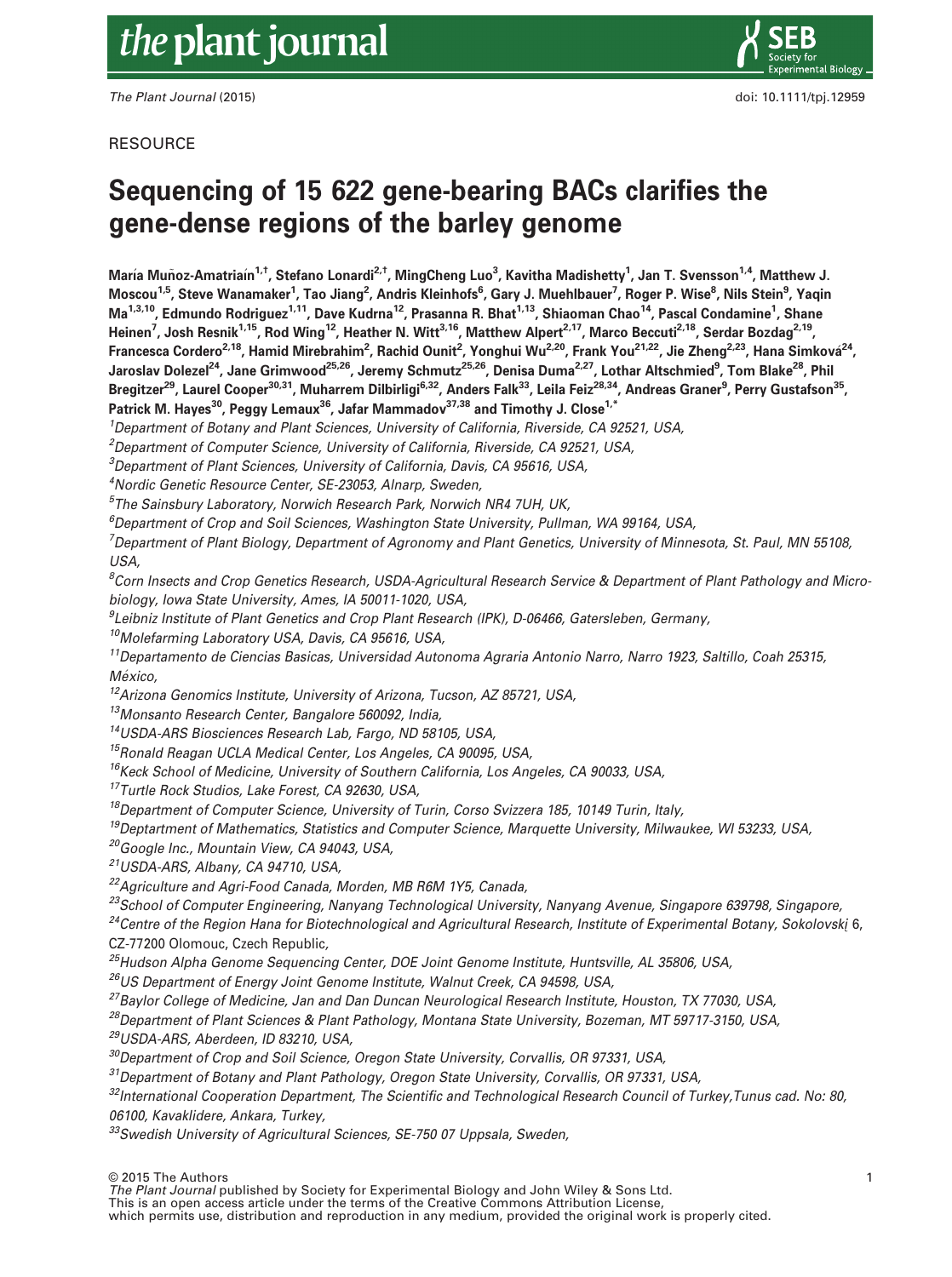# the plant journal

The Plant Journal (2015) **doi: 10.1111/tpj.12959** doi: 10.1111/tpj.12959



**RESOURCE** 

# Sequencing of 15 622 gene-bearing BACs clarifies the gene-dense regions of the barley genome

María Muñoz-Amatriaín<sup>1,†</sup>, Stefano Lonardi<sup>2,†</sup>, MingCheng Luo<sup>3</sup>, Kavitha Madishetty<sup>1</sup>, Jan T. Svensson<sup>1,4</sup>, Matthew J. Moscou<sup>1,5</sup>, Steve Wanamaker<sup>1</sup>, Tao Jiang<sup>2</sup>, Andris Kleinhofs<sup>6</sup>, Gary J. Muehlbauer<sup>7</sup>, Roger P. Wise<sup>8</sup>, Nils Stein<sup>9</sup>, Yaqin Ma<sup>1,3,10</sup>, Edmundo Rodriguez<sup>1,11</sup>, Dave Kudrna<sup>12</sup>, Prasanna R. Bhat<sup>1,13</sup>, Shiaoman Chao<sup>14</sup>, Pascal Condamine<sup>1</sup>, Shane Heinen<sup>7</sup>, Josh Resnik<sup>1,15</sup>, Rod Wing<sup>12</sup>, Heather N. Witt<sup>3,16</sup>, Matthew Alpert<sup>2,17</sup>, Marco Beccuti<sup>2,18</sup>, Serdar Bozdag<sup>2,19</sup>, Francesca Cordero<sup>2,18</sup>, Hamid Mirebrahim<sup>2</sup>, Rachid Ounit<sup>2</sup>, Yonghui Wu<sup>2,20</sup>, Frank You<sup>21,22</sup>, Jie Zheng<sup>2,23</sup>, Hana Simková<sup>24</sup>, Jaroslav Dolezel<sup>24</sup>, Jane Grimwood<sup>25,26</sup>, Jeremy Schmutz<sup>25,26</sup>, Denisa Duma<sup>2,27</sup>, Lothar Altschmied<sup>9</sup>, Tom Blake<sup>28</sup>, Phil Bregitzer<sup>29</sup>, Laurel Cooper<sup>30,31</sup>, Muharrem Dilbirligi<sup>6,32</sup>, Anders Falk<sup>33</sup>, Leila Feiz<sup>28,34</sup>, Andreas Graner<sup>9</sup>, Perry Gustafson<sup>35</sup>, Patrick M. Hayes<sup>30</sup>, Peggy Lemaux<sup>36</sup>, Jafar Mammadov<sup>37,38</sup> and Timothy J. Close<sup>1,\*</sup>

<sup>1</sup>Department of Botany and Plant Sciences, University of California, Riverside, CA 92521, USA,

<sup>2</sup>Department of Computer Science, University of California, Riverside, CA 92521, USA,

 $^3$ Department of Plant Sciences, University of California, Davis, CA 95616, USA,

4 Nordic Genetic Resource Center, SE-23053, Alnarp, Sweden,

5 The Sainsbury Laboratory, Norwich Research Park, Norwich NR4 7UH, UK,

6 Department of Crop and Soil Sciences, Washington State University, Pullman, WA 99164, USA,

7 Department of Plant Biology, Department of Agronomy and Plant Genetics, University of Minnesota, St. Paul, MN 55108, USA,

 $^8$ Corn Insects and Crop Genetics Research, USDA-Agricultural Research Service & Department of Plant Pathology and Microbiology, Iowa State University, Ames, IA 50011-1020, USA,

9 Leibniz Institute of Plant Genetics and Crop Plant Research (IPK), D-06466, Gatersleben, Germany,

<sup>10</sup>Molefarming Laboratory USA, Davis, CA 95616, USA,

11Departamento de Ciencias Basicas, Universidad Autonoma Agraria Antonio Narro, Narro 1923, Saltillo, Coah 25315, México,

<sup>12</sup> Arizona Genomics Institute, University of Arizona, Tucson, AZ 85721, USA,

13Monsanto Research Center, Bangalore 560092, India,

14USDA-ARS Biosciences Research Lab, Fargo, ND 58105, USA,

<sup>15</sup>Ronald Reagan UCLA Medical Center, Los Angeles, CA 90095, USA,

 $16$ Keck School of Medicine, University of Southern California, Los Angeles, CA 90033, USA,

<sup>17</sup>Turtle Rock Studios, Lake Forest, CA 92630, USA,

<sup>18</sup>Department of Computer Science, University of Turin, Corso Svizzera 185, 10149 Turin, Italy,

<sup>19</sup>Deptartment of Mathematics, Statistics and Computer Science, Marquette University, Milwaukee, WI 53233, USA,

20Google Inc., Mountain View, CA 94043, USA,

21USDA-ARS, Albany, CA 94710, USA,

22Agriculture and Agri-Food Canada, Morden, MB R6M 1Y5, Canada,

<sup>23</sup>School of Computer Engineering, Nanyang Technological University, Nanyang Avenue, Singapore 639798, Singapore,

 $24$ Centre of the Region Hana for Biotechnological and Agricultural Research, Institute of Experimental Botany, Sokolovski 6, CZ-77200 Olomouc, Czech Republic,

<sup>25</sup>Hudson Alpha Genome Sequencing Center, DOE Joint Genome Institute, Huntsville, AL 35806, USA,

<sup>26</sup>US Department of Energy Joint Genome Institute, Walnut Creek, CA 94598, USA,

<sup>27</sup>Baylor College of Medicine, Jan and Dan Duncan Neurological Research Institute, Houston, TX 77030, USA,

<sup>28</sup>Department of Plant Sciences & Plant Pathology, Montana State University, Bozeman, MT 59717-3150, USA,

29USDA-ARS, Aberdeen, ID 83210, USA,

 $30$ Department of Crop and Soil Science, Oregon State University, Corvallis, OR 97331, USA,

 $31$ Department of Botany and Plant Pathology, Oregon State University, Corvallis, OR 97331, USA,

 $32$ International Cooperation Department, The Scientific and Technological Research Council of Turkey, Tunus cad. No: 80, 06100, Kavaklidere, Ankara, Turkey,

<sup>33</sup>Swedish University of Agricultural Sciences, SE-750 07 Uppsala, Sweden,

© 2015 The Authors

The Plant Journal published by Society for Experimental Biology and John Wiley & Sons Ltd.

This is an open access article under the terms of the [Creative Commons Attribution](http://creativecommons.org/licenses/by/4.0/) License,

which permits use, distribution and reproduction in any medium, provided the original work is properly cited.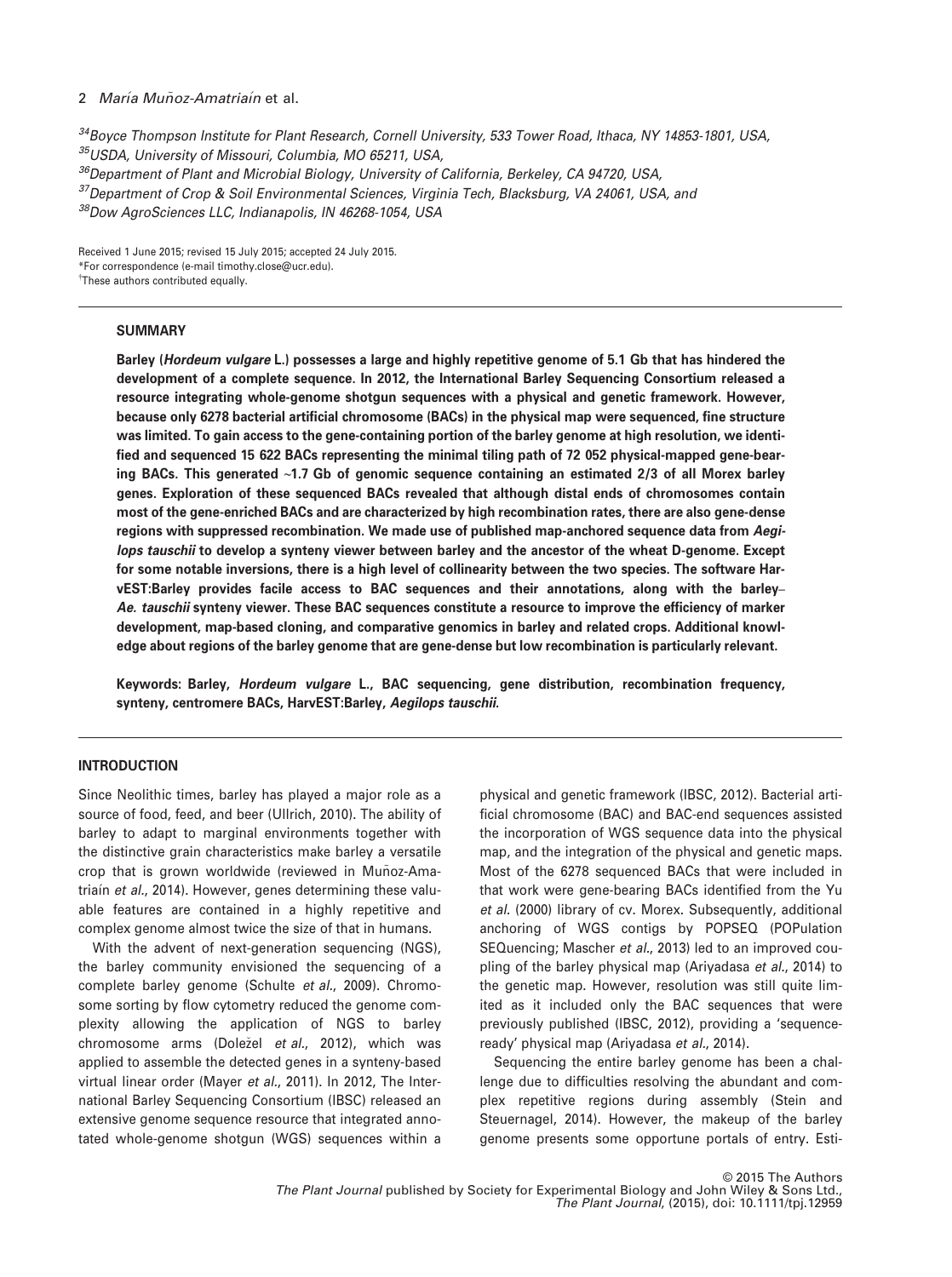<sup>34</sup>Bovce Thompson Institute for Plant Research, Cornell University, 533 Tower Road, Ithaca, NY 14853-1801, USA, 35USDA, University of Missouri, Columbia, MO 65211, USA, <sup>36</sup>Department of Plant and Microbial Biology, University of California, Berkeley, CA 94720, USA,

<sup>37</sup> Department of Crop & Soil Environmental Sciences, Virginia Tech, Blacksburg, VA 24061, USA, and

38Dow AgroSciences LLC, Indianapolis, IN 46268-1054, USA

Received 1 June 2015; revised 15 July 2015; accepted 24 July 2015. \*For correspondence (e-mail timothy.close@ucr.edu). † These authors contributed equally.

# **SUMMARY**

Barley (Hordeum vulgare L.) possesses a large and highly repetitive genome of 5.1 Gb that has hindered the development of a complete sequence. In 2012, the International Barley Sequencing Consortium released a resource integrating whole-genome shotgun sequences with a physical and genetic framework. However, because only 6278 bacterial artificial chromosome (BACs) in the physical map were sequenced, fine structure was limited. To gain access to the gene-containing portion of the barley genome at high resolution, we identified and sequenced 15 622 BACs representing the minimal tiling path of 72 052 physical-mapped gene-bearing BACs. This generated ~1.7 Gb of genomic sequence containing an estimated 2/3 of all Morex barley genes. Exploration of these sequenced BACs revealed that although distal ends of chromosomes contain most of the gene-enriched BACs and are characterized by high recombination rates, there are also gene-dense regions with suppressed recombination. We made use of published map-anchored sequence data from Aegilops tauschii to develop a synteny viewer between barley and the ancestor of the wheat D-genome. Except for some notable inversions, there is a high level of collinearity between the two species. The software HarvEST:Barley provides facile access to BAC sequences and their annotations, along with the barley– Ae. tauschii synteny viewer. These BAC sequences constitute a resource to improve the efficiency of marker development, map-based cloning, and comparative genomics in barley and related crops. Additional knowledge about regions of the barley genome that are gene-dense but low recombination is particularly relevant.

Keywords: Barley, Hordeum vulgare L., BAC sequencing, gene distribution, recombination frequency, synteny, centromere BACs, HarvEST:Barley, Aegilops tauschii.

# INTRODUCTION

Since Neolithic times, barley has played a major role as a source of food, feed, and beer (Ullrich, 2010). The ability of barley to adapt to marginal environments together with the distinctive grain characteristics make barley a versatile crop that is grown worldwide (reviewed in Muñoz-Amatriain et al., 2014). However, genes determining these valuable features are contained in a highly repetitive and complex genome almost twice the size of that in humans.

With the advent of next-generation sequencing (NGS), the barley community envisioned the sequencing of a complete barley genome (Schulte et al., 2009). Chromosome sorting by flow cytometry reduced the genome complexity allowing the application of NGS to barley chromosome arms (Doležel et al., 2012), which was applied to assemble the detected genes in a synteny-based virtual linear order (Mayer et al., 2011). In 2012, The International Barley Sequencing Consortium (IBSC) released an extensive genome sequence resource that integrated annotated whole-genome shotgun (WGS) sequences within a physical and genetic framework (IBSC, 2012). Bacterial artificial chromosome (BAC) and BAC-end sequences assisted the incorporation of WGS sequence data into the physical map, and the integration of the physical and genetic maps. Most of the 6278 sequenced BACs that were included in that work were gene-bearing BACs identified from the Yu et al. (2000) library of cv. Morex. Subsequently, additional anchoring of WGS contigs by POPSEQ (POPulation SEQuencing; Mascher et al., 2013) led to an improved coupling of the barley physical map (Arivadasa et al., 2014) to the genetic map. However, resolution was still quite limited as it included only the BAC sequences that were previously published (IBSC, 2012), providing a 'sequenceready' physical map (Ariyadasa et al., 2014).

Sequencing the entire barley genome has been a challenge due to difficulties resolving the abundant and complex repetitive regions during assembly (Stein and Steuernagel, 2014). However, the makeup of the barley genome presents some opportune portals of entry. Esti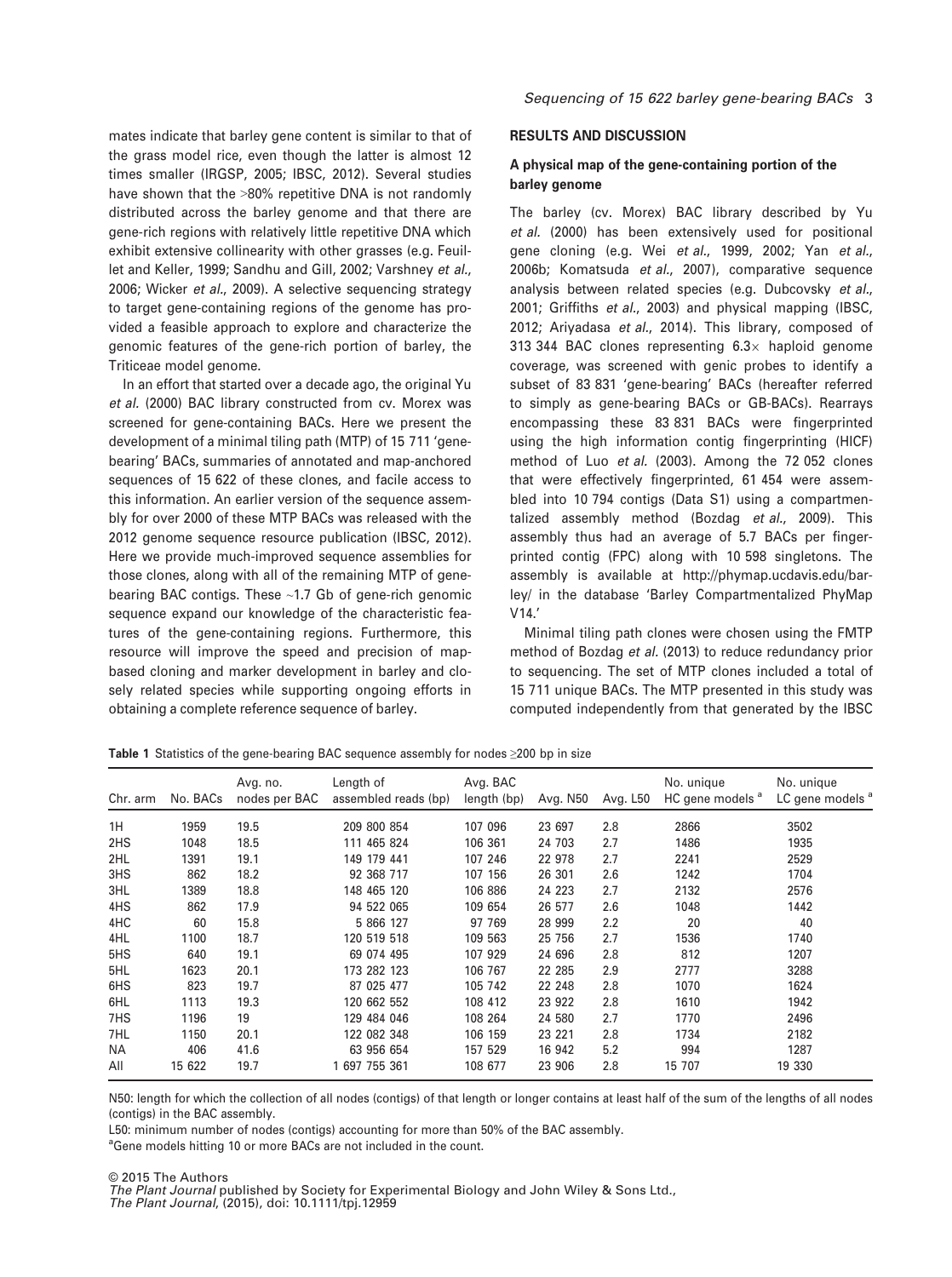mates indicate that barley gene content is similar to that of the grass model rice, even though the latter is almost 12 times smaller (IRGSP, 2005; IBSC, 2012). Several studies have shown that the >80% repetitive DNA is not randomly distributed across the barley genome and that there are gene-rich regions with relatively little repetitive DNA which exhibit extensive collinearity with other grasses (e.g. Feuillet and Keller, 1999; Sandhu and Gill, 2002; Varshney et al., 2006; Wicker et al., 2009). A selective sequencing strategy to target gene-containing regions of the genome has provided a feasible approach to explore and characterize the genomic features of the gene-rich portion of barley, the Triticeae model genome.

In an effort that started over a decade ago, the original Yu et al. (2000) BAC library constructed from cv. Morex was screened for gene-containing BACs. Here we present the development of a minimal tiling path (MTP) of 15 711 'genebearing' BACs, summaries of annotated and map-anchored sequences of 15 622 of these clones, and facile access to this information. An earlier version of the sequence assembly for over 2000 of these MTP BACs was released with the 2012 genome sequence resource publication (IBSC, 2012). Here we provide much-improved sequence assemblies for those clones, along with all of the remaining MTP of genebearing BAC contigs. These ~1.7 Gb of gene-rich genomic sequence expand our knowledge of the characteristic features of the gene-containing regions. Furthermore, this resource will improve the speed and precision of mapbased cloning and marker development in barley and closely related species while supporting ongoing efforts in obtaining a complete reference sequence of barley.

# RESULTS AND DISCUSSION

# A physical map of the gene-containing portion of the barley genome

The barley (cv. Morex) BAC library described by Yu et al. (2000) has been extensively used for positional gene cloning (e.g. Wei et al., 1999, 2002; Yan et al., 2006b; Komatsuda et al., 2007), comparative sequence analysis between related species (e.g. Dubcovsky et al., 2001; Griffiths et al., 2003) and physical mapping (IBSC, 2012; Ariyadasa et al., 2014). This library, composed of 313 344 BAC clones representing  $6.3\times$  haploid genome coverage, was screened with genic probes to identify a subset of 83 831 'gene-bearing' BACs (hereafter referred to simply as gene-bearing BACs or GB-BACs). Rearrays encompassing these 83 831 BACs were fingerprinted using the high information contig fingerprinting (HICF) method of Luo et al. (2003). Among the 72 052 clones that were effectively fingerprinted, 61 454 were assembled into 10 794 contigs (Data S1) using a compartmentalized assembly method (Bozdag et al., 2009). This assembly thus had an average of 5.7 BACs per fingerprinted contig (FPC) along with 10 598 singletons. The assembly is available at [http://phymap.ucdavis.edu/bar](http://phymap.ucdavis.edu/barley/)[ley/](http://phymap.ucdavis.edu/barley/) in the database 'Barley Compartmentalized PhyMap V14.'

Minimal tiling path clones were chosen using the FMTP method of Bozdag et al. (2013) to reduce redundancy prior to sequencing. The set of MTP clones included a total of 15 711 unique BACs. The MTP presented in this study was computed independently from that generated by the IBSC

Table 1 Statistics of the gene-bearing BAC sequence assembly for nodes ≥200 bp in size

| Chr. arm | No. BACs | Avg. no.<br>nodes per BAC | Length of<br>assembled reads (bp) | Avg. BAC<br>length (bp) | Avg. N50 | Avg. L50 | No. unique<br>HC gene models <sup>a</sup> | No. unique<br>LC gene models <sup>a</sup> |
|----------|----------|---------------------------|-----------------------------------|-------------------------|----------|----------|-------------------------------------------|-------------------------------------------|
| 1H       | 1959     | 19.5                      | 209 800 854                       | 107 096                 | 23 697   | 2.8      | 2866                                      | 3502                                      |
| 2HS      | 1048     | 18.5                      | 111 465 824                       | 106 361                 | 24 703   | 2.7      | 1486                                      | 1935                                      |
| 2HL      | 1391     | 19.1                      | 149 179 441                       | 107 246                 | 22 978   | 2.7      | 2241                                      | 2529                                      |
| 3HS      | 862      | 18.2                      | 92 368 717                        | 107 156                 | 26 301   | 2.6      | 1242                                      | 1704                                      |
| 3HL      | 1389     | 18.8                      | 148 465 120                       | 106 886                 | 24 223   | 2.7      | 2132                                      | 2576                                      |
| 4HS      | 862      | 17.9                      | 94 522 065                        | 109 654                 | 26 577   | 2.6      | 1048                                      | 1442                                      |
| 4HC      | 60       | 15.8                      | 5 866 127                         | 97 769                  | 28 999   | 2.2      | 20                                        | 40                                        |
| 4HL      | 1100     | 18.7                      | 120 519 518                       | 109 563                 | 25 7 56  | 2.7      | 1536                                      | 1740                                      |
| 5HS      | 640      | 19.1                      | 69 074 495                        | 107 929                 | 24 696   | 2.8      | 812                                       | 1207                                      |
| 5HL      | 1623     | 20.1                      | 173 282 123                       | 106 767                 | 22 285   | 2.9      | 2777                                      | 3288                                      |
| 6HS      | 823      | 19.7                      | 87 025 477                        | 105 742                 | 22 248   | 2.8      | 1070                                      | 1624                                      |
| 6HL      | 1113     | 19.3                      | 120 662 552                       | 108 412                 | 23 922   | 2.8      | 1610                                      | 1942                                      |
| 7HS      | 1196     | 19                        | 129 484 046                       | 108 264                 | 24 580   | 2.7      | 1770                                      | 2496                                      |
| 7HL      | 1150     | 20.1                      | 122 082 348                       | 106 159                 | 23 221   | 2.8      | 1734                                      | 2182                                      |
| ΝA       | 406      | 41.6                      | 63 956 654                        | 157 529                 | 16 942   | 5.2      | 994                                       | 1287                                      |
| All      | 15 622   | 19.7                      | 1 697 755 361                     | 108 677                 | 23 906   | 2.8      | 15 707                                    | 19 330                                    |

N50: length for which the collection of all nodes (contigs) of that length or longer contains at least half of the sum of the lengths of all nodes (contigs) in the BAC assembly.

L50: minimum number of nodes (contigs) accounting for more than 50% of the BAC assembly.

<sup>a</sup>Gene models hitting 10 or more BACs are not included in the count.

© 2015 The Authors

The Plant Journal published by Society for Experimental Biology and John Wiley & Sons Ltd., The Plant Journal, (2015), doi: 10.1111/tpj.12959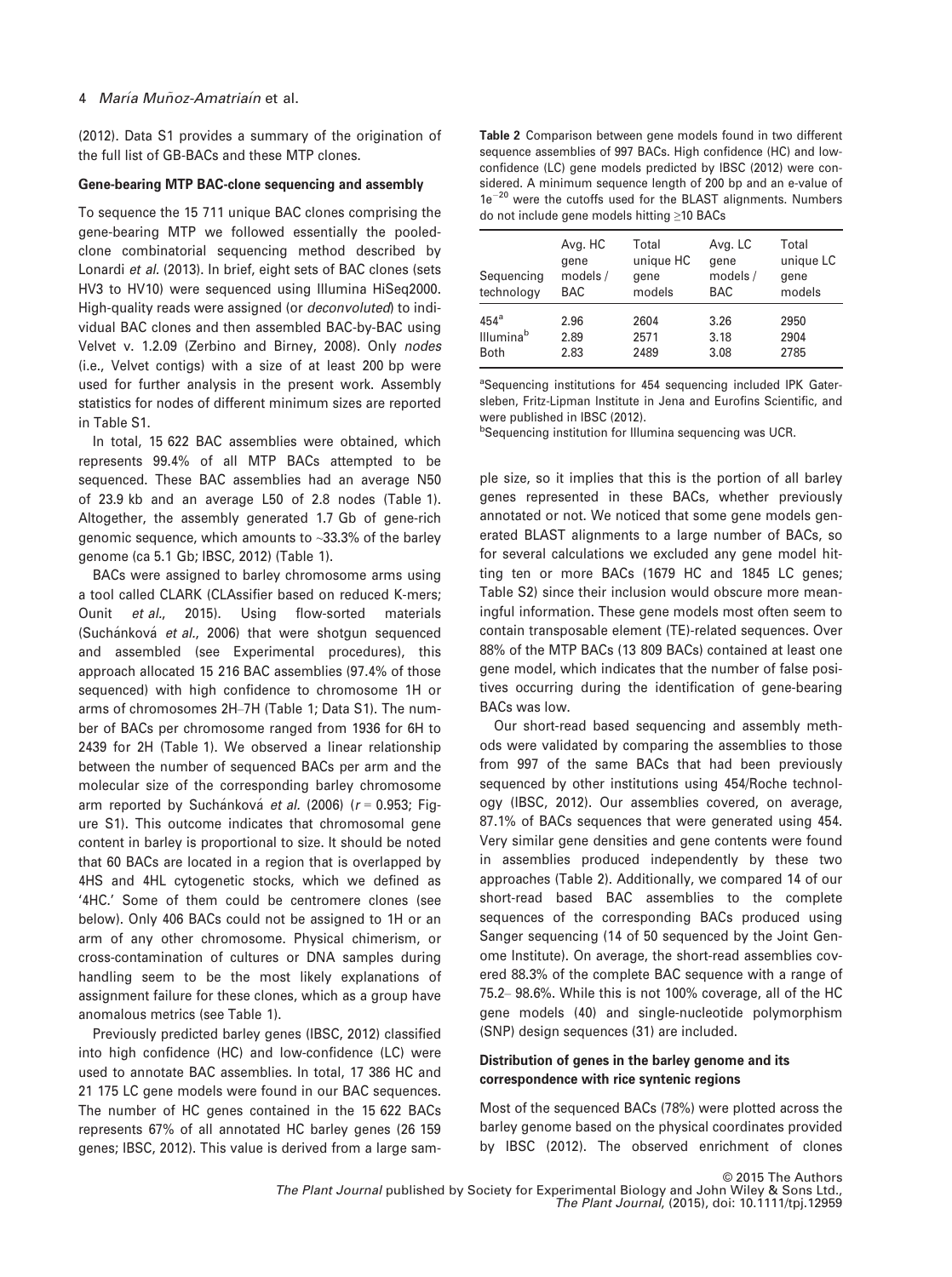(2012). Data S1 provides a summary of the origination of the full list of GB-BACs and these MTP clones.

# Gene-bearing MTP BAC-clone sequencing and assembly

To sequence the 15 711 unique BAC clones comprising the gene-bearing MTP we followed essentially the pooledclone combinatorial sequencing method described by Lonardi et al. (2013). In brief, eight sets of BAC clones (sets HV3 to HV10) were sequenced using Illumina HiSeq2000. High-quality reads were assigned (or deconvoluted) to individual BAC clones and then assembled BAC-by-BAC using Velvet v. 1.2.09 (Zerbino and Birney, 2008). Only nodes (i.e., Velvet contigs) with a size of at least 200 bp were used for further analysis in the present work. Assembly statistics for nodes of different minimum sizes are reported in Table S1.

In total, 15 622 BAC assemblies were obtained, which represents 99.4% of all MTP BACs attempted to be sequenced. These BAC assemblies had an average N50 of 23.9 kb and an average L50 of 2.8 nodes (Table 1). Altogether, the assembly generated 1.7 Gb of gene-rich genomic sequence, which amounts to ~33.3% of the barley genome (ca 5.1 Gb; IBSC, 2012) (Table 1).

BACs were assigned to barley chromosome arms using a tool called CLARK (CLAssifier based on reduced K-mers; Ounit et al., 2015). Using flow-sorted materials (Suchánková et al., 2006) that were shotgun sequenced and assembled (see Experimental procedures), this approach allocated 15 216 BAC assemblies (97.4% of those sequenced) with high confidence to chromosome 1H or arms of chromosomes 2H–7H (Table 1; Data S1). The number of BACs per chromosome ranged from 1936 for 6H to 2439 for 2H (Table 1). We observed a linear relationship between the number of sequenced BACs per arm and the molecular size of the corresponding barley chromosome arm reported by Suchánková et al. (2006) ( $r = 0.953$ ; Figure S1). This outcome indicates that chromosomal gene content in barley is proportional to size. It should be noted that 60 BACs are located in a region that is overlapped by 4HS and 4HL cytogenetic stocks, which we defined as '4HC.' Some of them could be centromere clones (see below). Only 406 BACs could not be assigned to 1H or an arm of any other chromosome. Physical chimerism, or cross-contamination of cultures or DNA samples during handling seem to be the most likely explanations of assignment failure for these clones, which as a group have anomalous metrics (see Table 1).

Previously predicted barley genes (IBSC, 2012) classified into high confidence (HC) and low-confidence (LC) were used to annotate BAC assemblies. In total, 17 386 HC and 21 175 LC gene models were found in our BAC sequences. The number of HC genes contained in the 15 622 BACs represents 67% of all annotated HC barley genes (26 159 genes; IBSC, 2012). This value is derived from a large sam-

Table 2 Comparison between gene models found in two different sequence assemblies of 997 BACs. High confidence (HC) and lowconfidence (LC) gene models predicted by IBSC (2012) were considered. A minimum sequence length of 200 bp and an e-value of  $1e^{-20}$  were the cutoffs used for the BLAST alignments. Numbers do not include gene models hitting ≥10 BACs

| Sequencing<br>technology | Avg. HC<br>gene<br>models /<br><b>BAC</b> | Total<br>unique HC<br>gene<br>models | Avg. LC<br>gene<br>models /<br><b>BAC</b> | Total<br>unique LC<br>gene<br>models |
|--------------------------|-------------------------------------------|--------------------------------------|-------------------------------------------|--------------------------------------|
| 454 <sup>a</sup>         | 2.96                                      | 2604                                 | 3.26                                      | 2950                                 |
| Illumina <sup>b</sup>    | 2.89                                      | 2571                                 | 3.18                                      | 2904                                 |
| <b>Both</b>              | 2.83                                      | 2489                                 | 3.08                                      | 2785                                 |

<sup>a</sup>Sequencing institutions for 454 sequencing included IPK Gatersleben, Fritz-Lipman Institute in Jena and Eurofins Scientific, and were published in IBSC (2012).

**bSequencing institution for Illumina sequencing was UCR.** 

ple size, so it implies that this is the portion of all barley genes represented in these BACs, whether previously annotated or not. We noticed that some gene models generated BLAST alignments to a large number of BACs, so for several calculations we excluded any gene model hitting ten or more BACs (1679 HC and 1845 LC genes; Table S2) since their inclusion would obscure more meaningful information. These gene models most often seem to contain transposable element (TE)-related sequences. Over 88% of the MTP BACs (13 809 BACs) contained at least one gene model, which indicates that the number of false positives occurring during the identification of gene-bearing BACs was low.

Our short-read based sequencing and assembly methods were validated by comparing the assemblies to those from 997 of the same BACs that had been previously sequenced by other institutions using 454/Roche technology (IBSC, 2012). Our assemblies covered, on average, 87.1% of BACs sequences that were generated using 454. Very similar gene densities and gene contents were found in assemblies produced independently by these two approaches (Table 2). Additionally, we compared 14 of our short-read based BAC assemblies to the complete sequences of the corresponding BACs produced using Sanger sequencing (14 of 50 sequenced by the Joint Genome Institute). On average, the short-read assemblies covered 88.3% of the complete BAC sequence with a range of 75.2– 98.6%. While this is not 100% coverage, all of the HC gene models (40) and single-nucleotide polymorphism (SNP) design sequences (31) are included.

# Distribution of genes in the barley genome and its correspondence with rice syntenic regions

Most of the sequenced BACs (78%) were plotted across the barley genome based on the physical coordinates provided by IBSC (2012). The observed enrichment of clones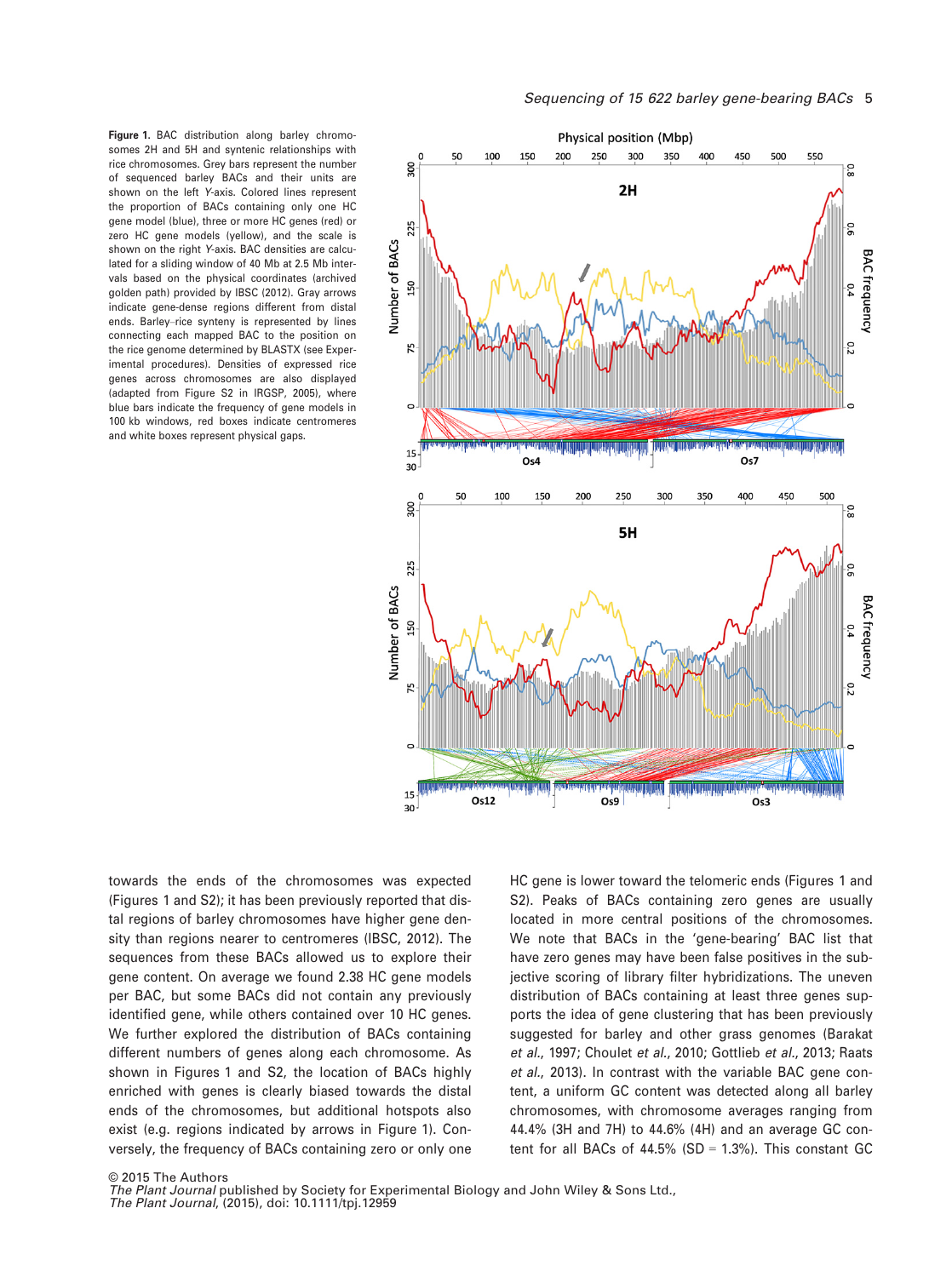Figure 1. BAC distribution along barley chromosomes 2H and 5H and syntenic relationships with rice chromosomes. Grey bars represent the number of sequenced barley BACs and their units are shown on the left Y-axis. Colored lines represent the proportion of BACs containing only one HC gene model (blue), three or more HC genes (red) or zero HC gene models (yellow), and the scale is shown on the right Y-axis. BAC densities are calculated for a sliding window of 40 Mb at 2.5 Mb intervals based on the physical coordinates (archived golden path) provided by IBSC (2012). Gray arrows indicate gene-dense regions different from distal ends. Barley–rice synteny is represented by lines connecting each mapped BAC to the position on the rice genome determined by BLASTX (see Experimental procedures). Densities of expressed rice genes across chromosomes are also displayed (adapted from Figure S2 in IRGSP, 2005), where blue bars indicate the frequency of gene models in 100 kb windows, red boxes indicate centromeres and white boxes represent physical gaps.



towards the ends of the chromosomes was expected (Figures 1 and S2); it has been previously reported that distal regions of barley chromosomes have higher gene density than regions nearer to centromeres (IBSC, 2012). The sequences from these BACs allowed us to explore their gene content. On average we found 2.38 HC gene models per BAC, but some BACs did not contain any previously identified gene, while others contained over 10 HC genes. We further explored the distribution of BACs containing different numbers of genes along each chromosome. As shown in Figures 1 and S2, the location of BACs highly enriched with genes is clearly biased towards the distal ends of the chromosomes, but additional hotspots also exist (e.g. regions indicated by arrows in Figure 1). Conversely, the frequency of BACs containing zero or only one HC gene is lower toward the telomeric ends (Figures 1 and S2). Peaks of BACs containing zero genes are usually located in more central positions of the chromosomes. We note that BACs in the 'gene-bearing' BAC list that have zero genes may have been false positives in the subjective scoring of library filter hybridizations. The uneven distribution of BACs containing at least three genes supports the idea of gene clustering that has been previously suggested for barley and other grass genomes (Barakat et al., 1997; Choulet et al., 2010; Gottlieb et al., 2013; Raats et al., 2013). In contrast with the variable BAC gene content, a uniform GC content was detected along all barley chromosomes, with chromosome averages ranging from 44.4% (3H and 7H) to 44.6% (4H) and an average GC content for all BACs of  $44.5\%$  (SD = 1.3%). This constant GC

© 2015 The Authors

The Plant Journal published by Society for Experimental Biology and John Wiley & Sons Ltd.,

The Plant Journal, (2015), doi: 10.1111/tpj.12959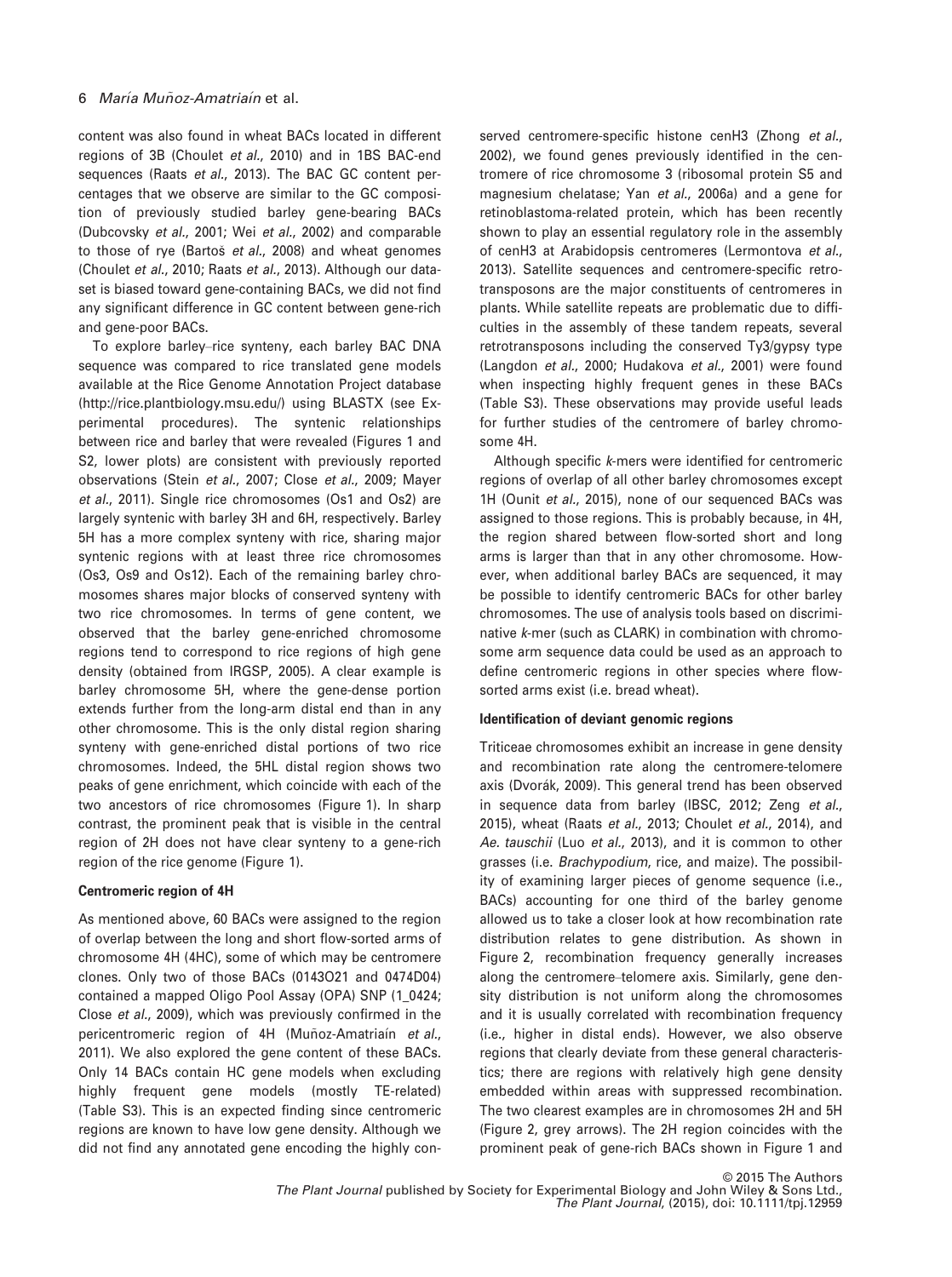content was also found in wheat BACs located in different regions of 3B (Choulet et al., 2010) and in 1BS BAC-end sequences (Raats et al., 2013). The BAC GC content percentages that we observe are similar to the GC composition of previously studied barley gene-bearing BACs (Dubcovsky et al., 2001; Wei et al., 2002) and comparable to those of rye (Bartoš et al., 2008) and wheat genomes (Choulet et al., 2010; Raats et al., 2013). Although our dataset is biased toward gene-containing BACs, we did not find any significant difference in GC content between gene-rich and gene-poor BACs.

To explore barley–rice synteny, each barley BAC DNA sequence was compared to rice translated gene models available at the Rice Genome Annotation Project database ([http://rice.plantbiology.msu.edu/\)](http://rice.plantbiology.msu.edu/) using BLASTX (see Experimental procedures). The syntenic relationships between rice and barley that were revealed (Figures 1 and S2, lower plots) are consistent with previously reported observations (Stein et al., 2007; Close et al., 2009; Mayer et al., 2011). Single rice chromosomes (Os1 and Os2) are largely syntenic with barley 3H and 6H, respectively. Barley 5H has a more complex synteny with rice, sharing major syntenic regions with at least three rice chromosomes (Os3, Os9 and Os12). Each of the remaining barley chromosomes shares major blocks of conserved synteny with two rice chromosomes. In terms of gene content, we observed that the barley gene-enriched chromosome regions tend to correspond to rice regions of high gene density (obtained from IRGSP, 2005). A clear example is barley chromosome 5H, where the gene-dense portion extends further from the long-arm distal end than in any other chromosome. This is the only distal region sharing synteny with gene-enriched distal portions of two rice chromosomes. Indeed, the 5HL distal region shows two peaks of gene enrichment, which coincide with each of the two ancestors of rice chromosomes (Figure 1). In sharp contrast, the prominent peak that is visible in the central region of 2H does not have clear synteny to a gene-rich region of the rice genome (Figure 1).

# Centromeric region of 4H

As mentioned above, 60 BACs were assigned to the region of overlap between the long and short flow-sorted arms of chromosome 4H (4HC), some of which may be centromere clones. Only two of those BACs (0143O21 and 0474D04) contained a mapped Oligo Pool Assay (OPA) SNP (1\_0424; Close et al., 2009), which was previously confirmed in the pericentromeric region of 4H (Muñoz-Amatria n et al., 2011). We also explored the gene content of these BACs. Only 14 BACs contain HC gene models when excluding highly frequent gene models (mostly TE-related) (Table S3). This is an expected finding since centromeric regions are known to have low gene density. Although we did not find any annotated gene encoding the highly conserved centromere-specific histone cenH3 (Zhong et al., 2002), we found genes previously identified in the centromere of rice chromosome 3 (ribosomal protein S5 and magnesium chelatase; Yan et al., 2006a) and a gene for retinoblastoma-related protein, which has been recently shown to play an essential regulatory role in the assembly of cenH3 at Arabidopsis centromeres (Lermontova et al., 2013). Satellite sequences and centromere-specific retrotransposons are the major constituents of centromeres in plants. While satellite repeats are problematic due to difficulties in the assembly of these tandem repeats, several retrotransposons including the conserved Ty3/gypsy type (Langdon et al., 2000; Hudakova et al., 2001) were found when inspecting highly frequent genes in these BACs (Table S3). These observations may provide useful leads for further studies of the centromere of barley chromosome 4H.

Although specific k-mers were identified for centromeric regions of overlap of all other barley chromosomes except 1H (Ounit et al., 2015), none of our sequenced BACs was assigned to those regions. This is probably because, in 4H, the region shared between flow-sorted short and long arms is larger than that in any other chromosome. However, when additional barley BACs are sequenced, it may be possible to identify centromeric BACs for other barley chromosomes. The use of analysis tools based on discriminative k-mer (such as CLARK) in combination with chromosome arm sequence data could be used as an approach to define centromeric regions in other species where flowsorted arms exist (i.e. bread wheat).

# Identification of deviant genomic regions

Triticeae chromosomes exhibit an increase in gene density and recombination rate along the centromere-telomere axis (Dvorák, 2009). This general trend has been observed in sequence data from barley (IBSC, 2012; Zeng et al., 2015), wheat (Raats et al., 2013; Choulet et al., 2014), and Ae. tauschii (Luo et al., 2013), and it is common to other grasses (i.e. Brachypodium, rice, and maize). The possibility of examining larger pieces of genome sequence (i.e., BACs) accounting for one third of the barley genome allowed us to take a closer look at how recombination rate distribution relates to gene distribution. As shown in Figure 2, recombination frequency generally increases along the centromere–telomere axis. Similarly, gene density distribution is not uniform along the chromosomes and it is usually correlated with recombination frequency (i.e., higher in distal ends). However, we also observe regions that clearly deviate from these general characteristics; there are regions with relatively high gene density embedded within areas with suppressed recombination. The two clearest examples are in chromosomes 2H and 5H (Figure 2, grey arrows). The 2H region coincides with the prominent peak of gene-rich BACs shown in Figure 1 and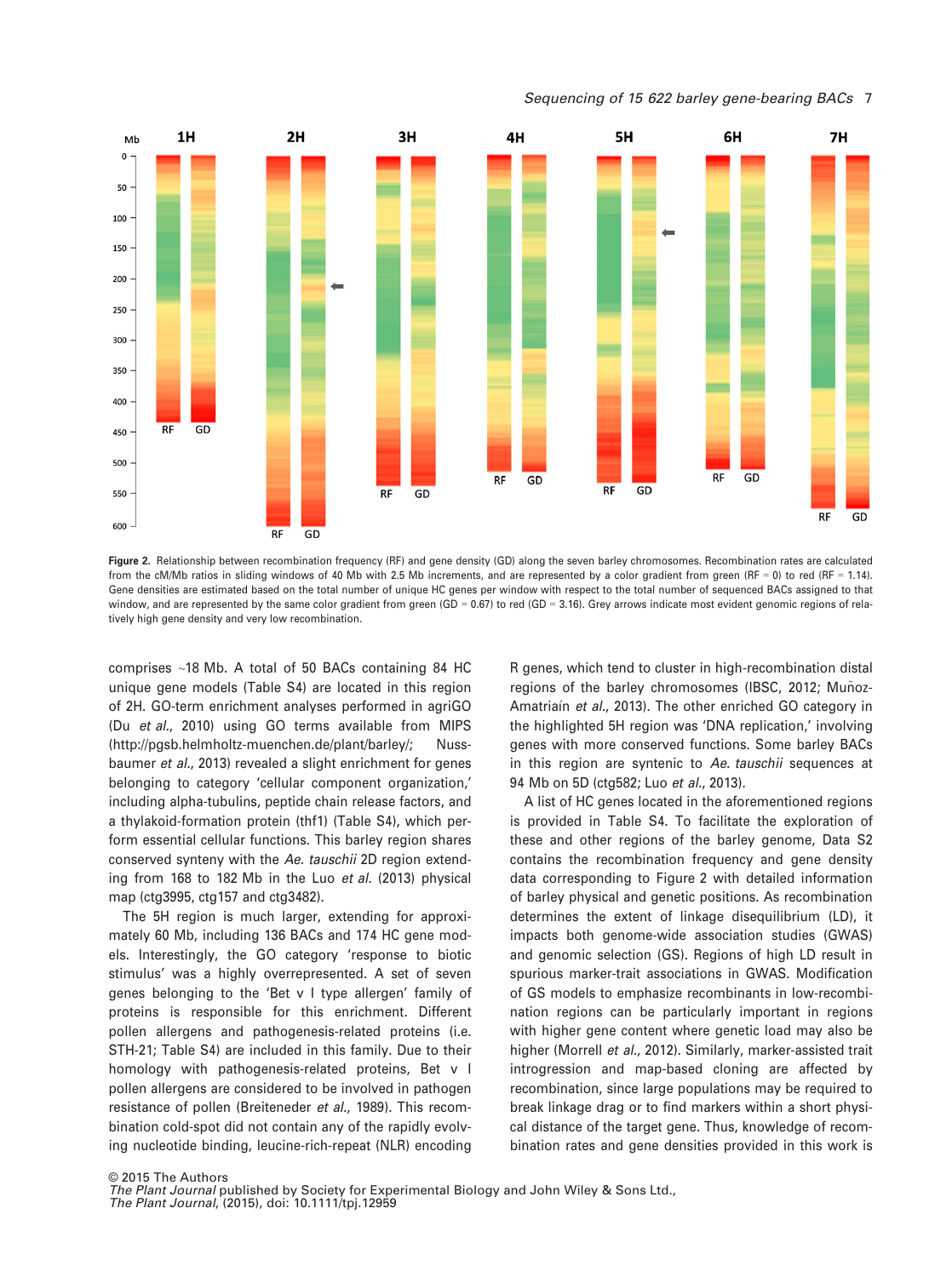Sequencing of 15 622 barley gene-bearing BACs 7



Figure 2. Relationship between recombination frequency (RF) and gene density (GD) along the seven barley chromosomes. Recombination rates are calculated from the cM/Mb ratios in sliding windows of 40 Mb with 2.5 Mb increments, and are represented by a color gradient from green (RF = 0) to red (RF = 1.14). Gene densities are estimated based on the total number of unique HC genes per window with respect to the total number of sequenced BACs assigned to that window, and are represented by the same color gradient from green (GD = 0.67) to red (GD = 3.16). Grey arrows indicate most evident genomic regions of relatively high gene density and very low recombination.

comprises ~18 Mb. A total of 50 BACs containing 84 HC unique gene models (Table S4) are located in this region of 2H. GO-term enrichment analyses performed in agriGO (Du et al., 2010) using GO terms available from MIPS (<http://pgsb.helmholtz-muenchen.de/plant/barley/>; Nussbaumer et al., 2013) revealed a slight enrichment for genes belonging to category 'cellular component organization,' including alpha-tubulins, peptide chain release factors, and a thylakoid-formation protein (thf1) (Table S4), which perform essential cellular functions. This barley region shares conserved synteny with the Ae. tauschii 2D region extending from 168 to 182 Mb in the Luo et al. (2013) physical map (ctg3995, ctg157 and ctg3482).

The 5H region is much larger, extending for approximately 60 Mb, including 136 BACs and 174 HC gene models. Interestingly, the GO category 'response to biotic stimulus' was a highly overrepresented. A set of seven genes belonging to the 'Bet v I type allergen' family of proteins is responsible for this enrichment. Different pollen allergens and pathogenesis-related proteins (i.e. STH-21; Table S4) are included in this family. Due to their homology with pathogenesis-related proteins, Bet v I pollen allergens are considered to be involved in pathogen resistance of pollen (Breiteneder et al., 1989). This recombination cold-spot did not contain any of the rapidly evolving nucleotide binding, leucine-rich-repeat (NLR) encoding

R genes, which tend to cluster in high-recombination distal regions of the barley chromosomes (IBSC, 2012; Muñoz-Amatriain et al., 2013). The other enriched GO category in the highlighted 5H region was 'DNA replication,' involving genes with more conserved functions. Some barley BACs in this region are syntenic to Ae. tauschii sequences at 94 Mb on 5D (ctg582; Luo et al., 2013).

A list of HC genes located in the aforementioned regions is provided in Table S4. To facilitate the exploration of these and other regions of the barley genome, Data S2 contains the recombination frequency and gene density data corresponding to Figure 2 with detailed information of barley physical and genetic positions. As recombination determines the extent of linkage disequilibrium (LD), it impacts both genome-wide association studies (GWAS) and genomic selection (GS). Regions of high LD result in spurious marker-trait associations in GWAS. Modification of GS models to emphasize recombinants in low-recombination regions can be particularly important in regions with higher gene content where genetic load may also be higher (Morrell et al., 2012). Similarly, marker-assisted trait introgression and map-based cloning are affected by recombination, since large populations may be required to break linkage drag or to find markers within a short physical distance of the target gene. Thus, knowledge of recombination rates and gene densities provided in this work is

© 2015 The Authors The Plant Journal published by Society for Experimental Biology and John Wiley & Sons Ltd.,

The Plant Journal, (2015), doi: 10.1111/tpj.12959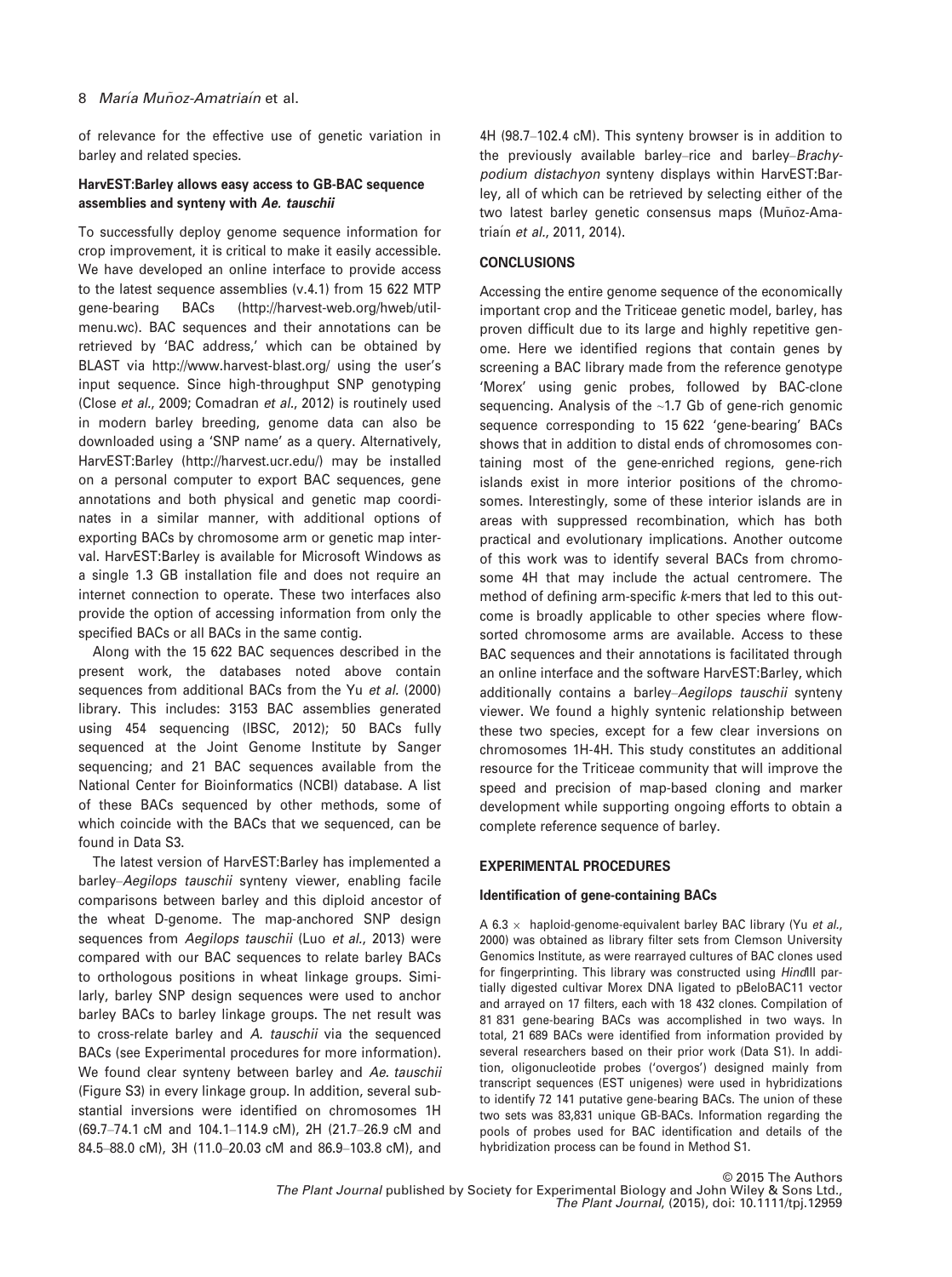of relevance for the effective use of genetic variation in barley and related species.

# HarvEST:Barley allows easy access to GB-BAC sequence assemblies and synteny with Ae. tauschii

To successfully deploy genome sequence information for crop improvement, it is critical to make it easily accessible. We have developed an online interface to provide access to the latest sequence assemblies (v.4.1) from 15 622 MTP gene-bearing BACs [\(http://harvest-web.org/hweb/util](http://harvest-web.org/hweb/utilmenu.wc)[menu.wc](http://harvest-web.org/hweb/utilmenu.wc)). BAC sequences and their annotations can be retrieved by 'BAC address,' which can be obtained by BLAST via<http://www.harvest-blast.org/> using the user's input sequence. Since high-throughput SNP genotyping (Close et al., 2009; Comadran et al., 2012) is routinely used in modern barley breeding, genome data can also be downloaded using a 'SNP name' as a query. Alternatively, HarvEST:Barley [\(http://harvest.ucr.edu/\)](http://harvest.ucr.edu/) may be installed on a personal computer to export BAC sequences, gene annotations and both physical and genetic map coordinates in a similar manner, with additional options of exporting BACs by chromosome arm or genetic map interval. HarvEST:Barley is available for Microsoft Windows as a single 1.3 GB installation file and does not require an internet connection to operate. These two interfaces also provide the option of accessing information from only the specified BACs or all BACs in the same contig.

Along with the 15 622 BAC sequences described in the present work, the databases noted above contain sequences from additional BACs from the Yu et al. (2000) library. This includes: 3153 BAC assemblies generated using 454 sequencing (IBSC, 2012); 50 BACs fully sequenced at the Joint Genome Institute by Sanger sequencing; and 21 BAC sequences available from the National Center for Bioinformatics (NCBI) database. A list of these BACs sequenced by other methods, some of which coincide with the BACs that we sequenced, can be found in Data S3.

The latest version of HarvEST:Barley has implemented a barley–Aegilops tauschii synteny viewer, enabling facile comparisons between barley and this diploid ancestor of the wheat D-genome. The map-anchored SNP design sequences from Aegilops tauschii (Luo et al., 2013) were compared with our BAC sequences to relate barley BACs to orthologous positions in wheat linkage groups. Similarly, barley SNP design sequences were used to anchor barley BACs to barley linkage groups. The net result was to cross-relate barley and A. tauschii via the sequenced BACs (see Experimental procedures for more information). We found clear synteny between barley and Ae. tauschii (Figure S3) in every linkage group. In addition, several substantial inversions were identified on chromosomes 1H (69.7–74.1 cM and 104.1–114.9 cM), 2H (21.7–26.9 cM and 84.5–88.0 cM), 3H (11.0–20.03 cM and 86.9–103.8 cM), and

4H (98.7–102.4 cM). This synteny browser is in addition to the previously available barley–rice and barley–Brachypodium distachyon synteny displays within HarvEST:Barley, all of which can be retrieved by selecting either of the two latest barley genetic consensus maps (Muñoz-Amatriain et al., 2011, 2014).

# **CONCLUSIONS**

Accessing the entire genome sequence of the economically important crop and the Triticeae genetic model, barley, has proven difficult due to its large and highly repetitive genome. Here we identified regions that contain genes by screening a BAC library made from the reference genotype 'Morex' using genic probes, followed by BAC-clone sequencing. Analysis of the ~1.7 Gb of gene-rich genomic sequence corresponding to 15 622 'gene-bearing' BACs shows that in addition to distal ends of chromosomes containing most of the gene-enriched regions, gene-rich islands exist in more interior positions of the chromosomes. Interestingly, some of these interior islands are in areas with suppressed recombination, which has both practical and evolutionary implications. Another outcome of this work was to identify several BACs from chromosome 4H that may include the actual centromere. The method of defining arm-specific k-mers that led to this outcome is broadly applicable to other species where flowsorted chromosome arms are available. Access to these BAC sequences and their annotations is facilitated through an online interface and the software HarvEST:Barley, which additionally contains a barley–Aegilops tauschii synteny viewer. We found a highly syntenic relationship between these two species, except for a few clear inversions on chromosomes 1H-4H. This study constitutes an additional resource for the Triticeae community that will improve the speed and precision of map-based cloning and marker development while supporting ongoing efforts to obtain a complete reference sequence of barley.

# EXPERIMENTAL PROCEDURES

# Identification of gene-containing BACs

A 6.3  $\times$  haploid-genome-equivalent barley BAC library (Yu et al., 2000) was obtained as library filter sets from Clemson University Genomics Institute, as were rearrayed cultures of BAC clones used for fingerprinting. This library was constructed using HindIII partially digested cultivar Morex DNA ligated to pBeloBAC11 vector and arrayed on 17 filters, each with 18 432 clones. Compilation of 81 831 gene-bearing BACs was accomplished in two ways. In total, 21 689 BACs were identified from information provided by several researchers based on their prior work (Data S1). In addition, oligonucleotide probes ('overgos') designed mainly from transcript sequences (EST unigenes) were used in hybridizations to identify 72 141 putative gene-bearing BACs. The union of these two sets was 83,831 unique GB-BACs. Information regarding the pools of probes used for BAC identification and details of the hybridization process can be found in Method S1.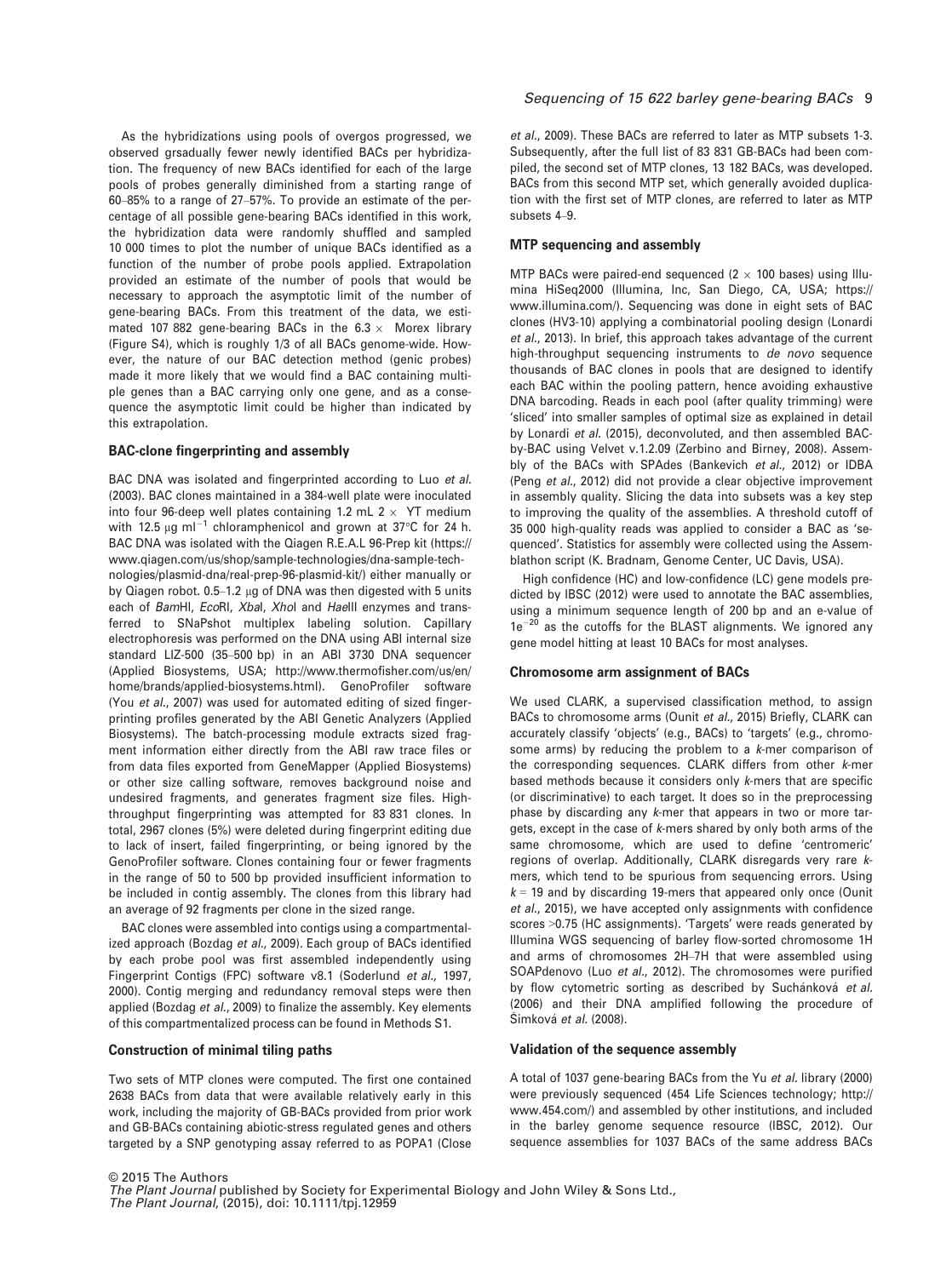As the hybridizations using pools of overgos progressed, we observed grsadually fewer newly identified BACs per hybridization. The frequency of new BACs identified for each of the large pools of probes generally diminished from a starting range of 60–85% to a range of 27–57%. To provide an estimate of the percentage of all possible gene-bearing BACs identified in this work, the hybridization data were randomly shuffled and sampled 10 000 times to plot the number of unique BACs identified as a function of the number of probe pools applied. Extrapolation provided an estimate of the number of pools that would be necessary to approach the asymptotic limit of the number of gene-bearing BACs. From this treatment of the data, we estimated 107 882 gene-bearing BACs in the 6.3  $\times$  Morex library (Figure S4), which is roughly 1/3 of all BACs genome-wide. However, the nature of our BAC detection method (genic probes) made it more likely that we would find a BAC containing multiple genes than a BAC carrying only one gene, and as a consequence the asymptotic limit could be higher than indicated by this extrapolation.

#### BAC-clone fingerprinting and assembly

BAC DNA was isolated and fingerprinted according to Luo et al. (2003). BAC clones maintained in a 384-well plate were inoculated into four 96-deep well plates containing 1.2 mL  $2 \times$  YT medium with 12.5  $\mu$ g ml<sup>-1</sup> chloramphenicol and grown at 37°C for 24 h. BAC DNA was isolated with the Qiagen R.E.A.L 96-Prep kit ([https://](https://www.qiagen.com/us/shop/sample-technologies/dna-sample-technologies/plasmid-dna/real-prep-96-plasmid-kit/) [www.qiagen.com/us/shop/sample-technologies/dna-sample-tech](https://www.qiagen.com/us/shop/sample-technologies/dna-sample-technologies/plasmid-dna/real-prep-96-plasmid-kit/)[nologies/plasmid-dna/real-prep-96-plasmid-kit/\)](https://www.qiagen.com/us/shop/sample-technologies/dna-sample-technologies/plasmid-dna/real-prep-96-plasmid-kit/) either manually or by Qiagen robot. 0.5-1.2 µg of DNA was then digested with 5 units each of BamHI, EcoRI, Xbal, Xhol and Haelll enzymes and transferred to SNaPshot multiplex labeling solution. Capillary electrophoresis was performed on the DNA using ABI internal size standard LIZ-500 (35–500 bp) in an ABI 3730 DNA sequencer (Applied Biosystems, USA; [http://www.thermofisher.com/us/en/](http://www.thermofisher.com/us/en/home/brands/applied-biosystems.html) [home/brands/applied-biosystems.html](http://www.thermofisher.com/us/en/home/brands/applied-biosystems.html)). GenoProfiler software (You et al., 2007) was used for automated editing of sized fingerprinting profiles generated by the ABI Genetic Analyzers (Applied Biosystems). The batch-processing module extracts sized fragment information either directly from the ABI raw trace files or from data files exported from GeneMapper (Applied Biosystems) or other size calling software, removes background noise and undesired fragments, and generates fragment size files. Highthroughput fingerprinting was attempted for 83 831 clones. In total, 2967 clones (5%) were deleted during fingerprint editing due to lack of insert, failed fingerprinting, or being ignored by the GenoProfiler software. Clones containing four or fewer fragments in the range of 50 to 500 bp provided insufficient information to be included in contig assembly. The clones from this library had an average of 92 fragments per clone in the sized range.

BAC clones were assembled into contigs using a compartmentalized approach (Bozdag et al., 2009). Each group of BACs identified by each probe pool was first assembled independently using Fingerprint Contigs (FPC) software v8.1 (Soderlund et al., 1997, 2000). Contig merging and redundancy removal steps were then applied (Bozdag et al., 2009) to finalize the assembly. Key elements of this compartmentalized process can be found in Methods S1.

#### Construction of minimal tiling paths

Two sets of MTP clones were computed. The first one contained 2638 BACs from data that were available relatively early in this work, including the majority of GB-BACs provided from prior work and GB-BACs containing abiotic-stress regulated genes and others targeted by a SNP genotyping assay referred to as POPA1 (Close

# Sequencing of 15 622 barley gene-bearing BACs 9

et al., 2009). These BACs are referred to later as MTP subsets 1-3. Subsequently, after the full list of 83 831 GB-BACs had been compiled, the second set of MTP clones, 13 182 BACs, was developed. BACs from this second MTP set, which generally avoided duplication with the first set of MTP clones, are referred to later as MTP subsets 4–9.

#### MTP sequencing and assembly

MTP BACs were paired-end sequenced ( $2 \times 100$  bases) using Illumina HiSeq2000 (Illumina, Inc, San Diego, CA, USA; [https://](https://www.illumina.com/) [www.illumina.com/\)](https://www.illumina.com/). Sequencing was done in eight sets of BAC clones (HV3-10) applying a combinatorial pooling design (Lonardi et al., 2013). In brief, this approach takes advantage of the current high-throughput sequencing instruments to de novo sequence thousands of BAC clones in pools that are designed to identify each BAC within the pooling pattern, hence avoiding exhaustive DNA barcoding. Reads in each pool (after quality trimming) were 'sliced' into smaller samples of optimal size as explained in detail by Lonardi et al. (2015), deconvoluted, and then assembled BACby-BAC using Velvet v.1.2.09 (Zerbino and Birney, 2008). Assembly of the BACs with SPAdes (Bankevich et al., 2012) or IDBA (Peng et al., 2012) did not provide a clear objective improvement in assembly quality. Slicing the data into subsets was a key step to improving the quality of the assemblies. A threshold cutoff of 35 000 high-quality reads was applied to consider a BAC as 'sequenced'. Statistics for assembly were collected using the Assemblathon script (K. Bradnam, Genome Center, UC Davis, USA).

High confidence (HC) and low-confidence (LC) gene models predicted by IBSC (2012) were used to annotate the BAC assemblies, using a minimum sequence length of 200 bp and an e-value of  $1e^{-20}$  as the cutoffs for the BLAST alignments. We ignored any gene model hitting at least 10 BACs for most analyses.

#### Chromosome arm assignment of BACs

We used CLARK, a supervised classification method, to assign BACs to chromosome arms (Ounit et al., 2015) Briefly, CLARK can accurately classify 'objects' (e.g., BACs) to 'targets' (e.g., chromosome arms) by reducing the problem to a k-mer comparison of the corresponding sequences. CLARK differs from other k-mer based methods because it considers only k-mers that are specific (or discriminative) to each target. It does so in the preprocessing phase by discarding any k-mer that appears in two or more targets, except in the case of k-mers shared by only both arms of the same chromosome, which are used to define 'centromeric' regions of overlap. Additionally, CLARK disregards very rare kmers, which tend to be spurious from sequencing errors. Using  $k = 19$  and by discarding 19-mers that appeared only once (Ounit et al., 2015), we have accepted only assignments with confidence scores >0.75 (HC assignments). 'Targets' were reads generated by Illumina WGS sequencing of barley flow-sorted chromosome 1H and arms of chromosomes 2H–7H that were assembled using SOAPdenovo (Luo et al., 2012). The chromosomes were purified by flow cytometric sorting as described by Suchánková et al. (2006) and their DNA amplified following the procedure of Simková et al. (2008).

#### Validation of the sequence assembly

A total of 1037 gene-bearing BACs from the Yu et al. library (2000) were previously sequenced (454 Life Sciences technology; [http://](http://www.454.com/) [www.454.com/\)](http://www.454.com/) and assembled by other institutions, and included in the barley genome sequence resource (IBSC, 2012). Our sequence assemblies for 1037 BACs of the same address BACs

© 2015 The Authors The Plant Journal published by Society for Experimental Biology and John Wiley & Sons Ltd., The Plant Journal, (2015), doi: 10.1111/tpj.12959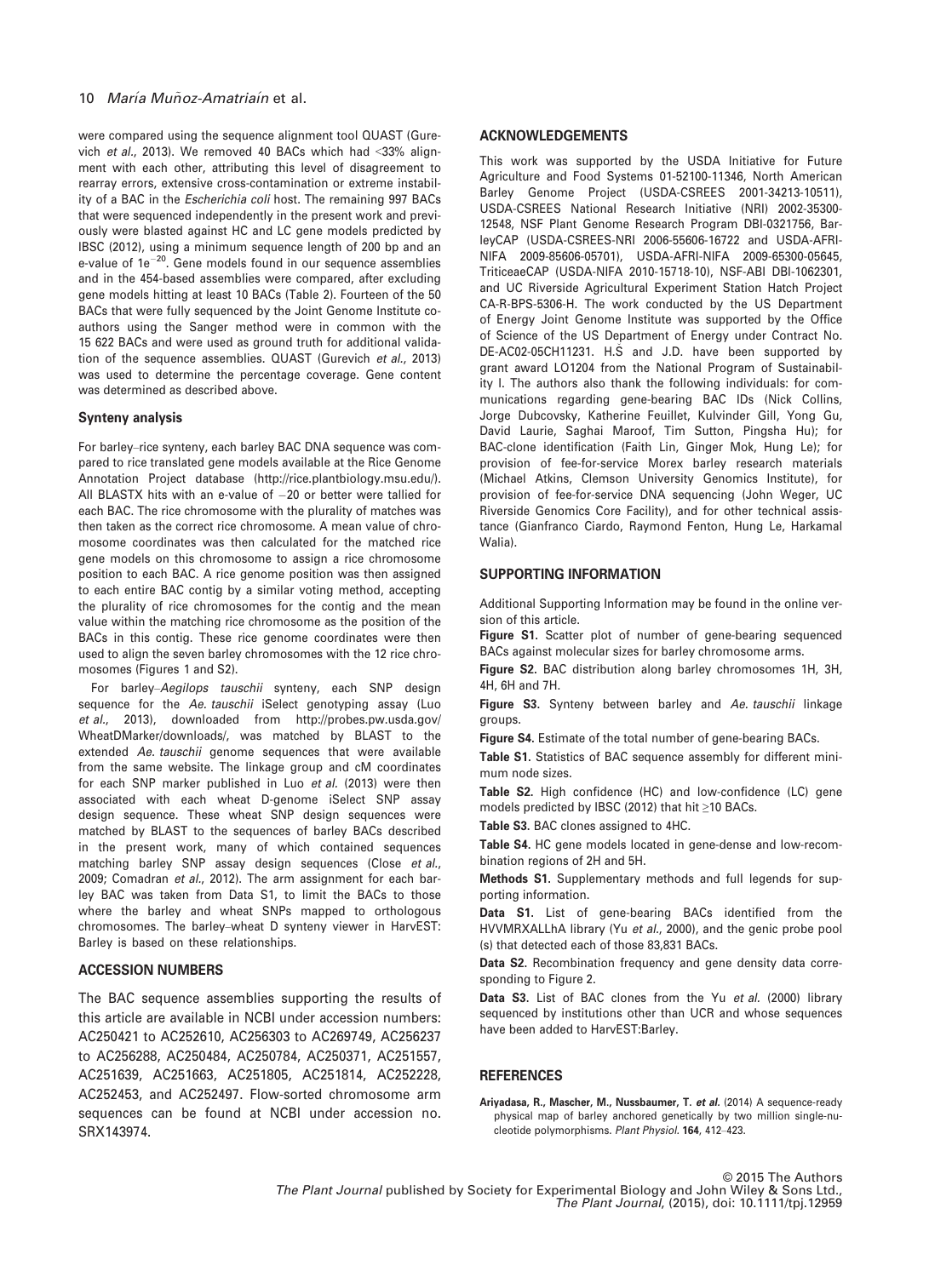were compared using the sequence alignment tool QUAST (Gurevich et al., 2013). We removed 40 BACs which had <33% alignment with each other, attributing this level of disagreement to rearray errors, extensive cross-contamination or extreme instability of a BAC in the *Escherichia coli* host. The remaining 997 BACs that were sequenced independently in the present work and previously were blasted against HC and LC gene models predicted by IBSC (2012), using a minimum sequence length of 200 bp and an e-value of  $1e^{-20}$ . Gene models found in our sequence assemblies and in the 454-based assemblies were compared, after excluding gene models hitting at least 10 BACs (Table 2). Fourteen of the 50 BACs that were fully sequenced by the Joint Genome Institute coauthors using the Sanger method were in common with the 15 622 BACs and were used as ground truth for additional validation of the sequence assemblies. QUAST (Gurevich et al., 2013) was used to determine the percentage coverage. Gene content was determined as described above.

# Synteny analysis

For barley–rice synteny, each barley BAC DNA sequence was compared to rice translated gene models available at the Rice Genome Annotation Project database [\(http://rice.plantbiology.msu.edu/\)](http://rice.plantbiology.msu.edu/). All BLASTX hits with an e-value of  $-20$  or better were tallied for each BAC. The rice chromosome with the plurality of matches was then taken as the correct rice chromosome. A mean value of chromosome coordinates was then calculated for the matched rice gene models on this chromosome to assign a rice chromosome position to each BAC. A rice genome position was then assigned to each entire BAC contig by a similar voting method, accepting the plurality of rice chromosomes for the contig and the mean value within the matching rice chromosome as the position of the BACs in this contig. These rice genome coordinates were then used to align the seven barley chromosomes with the 12 rice chromosomes (Figures 1 and S2).

For barley–Aegilops tauschii synteny, each SNP design sequence for the Ae. tauschii iSelect genotyping assay (Luo et al., 2013), downloaded from [http://probes.pw.usda.gov/](http://probes.pw.usda.gov/WheatDMarker/downloads/) [WheatDMarker/downloads/,](http://probes.pw.usda.gov/WheatDMarker/downloads/) was matched by BLAST to the extended Ae. tauschii genome sequences that were available from the same website. The linkage group and cM coordinates for each SNP marker published in Luo et al. (2013) were then associated with each wheat D-genome iSelect SNP assay design sequence. These wheat SNP design sequences were matched by BLAST to the sequences of barley BACs described in the present work, many of which contained sequences matching barley SNP assay design sequences (Close et al., 2009; Comadran et al., 2012). The arm assignment for each barley BAC was taken from Data S1, to limit the BACs to those where the barley and wheat SNPs mapped to orthologous chromosomes. The barley–wheat D synteny viewer in HarvEST: Barley is based on these relationships.

# ACCESSION NUMBERS

The BAC sequence assemblies supporting the results of this article are available in NCBI under accession numbers: [AC250421](http://www.ncbi.nlm.nih.gov/nuccore/AC250421) to [AC252610](http://www.ncbi.nlm.nih.gov/nuccore/AC252610), [AC256303](http://www.ncbi.nlm.nih.gov/nuccore/AC256303) to [AC269749](http://www.ncbi.nlm.nih.gov/nuccore/AC269749), [AC256237](http://www.ncbi.nlm.nih.gov/nuccore/AC256237) to [AC256288](http://www.ncbi.nlm.nih.gov/nuccore/AC256288), [AC250484](http://www.ncbi.nlm.nih.gov/nuccore/AC250484), [AC250784](http://www.ncbi.nlm.nih.gov/nuccore/AC250784), [AC250371,](http://www.ncbi.nlm.nih.gov/nuccore/AC250371) [AC251557,](http://www.ncbi.nlm.nih.gov/nuccore/AC251557) [AC251639,](http://www.ncbi.nlm.nih.gov/nuccore/AC251639) [AC251663,](http://www.ncbi.nlm.nih.gov/nuccore/AC251663) [AC251805](http://www.ncbi.nlm.nih.gov/nuccore/AC251805), [AC251814](http://www.ncbi.nlm.nih.gov/nuccore/AC251814), [AC252228,](http://www.ncbi.nlm.nih.gov/nuccore/AC252228) [AC252453,](http://www.ncbi.nlm.nih.gov/nuccore/AC252453) and [AC252497.](http://www.ncbi.nlm.nih.gov/nuccore/AC252497) Flow-sorted chromosome arm sequences can be found at NCBI under accession no. [SRX143974](http://www.ncbi.nlm.nih.gov/nuccore/SRX143974).

#### ACKNOWLEDGEMENTS

This work was supported by the USDA Initiative for Future Agriculture and Food Systems 01-52100-11346, North American Barley Genome Project (USDA-CSREES 2001-34213-10511), USDA-CSREES National Research Initiative (NRI) 2002-35300- 12548, NSF Plant Genome Research Program DBI-0321756, BarleyCAP (USDA-CSREES-NRI 2006-55606-16722 and USDA-AFRI-NIFA 2009-85606-05701), USDA-AFRI-NIFA 2009-65300-05645, TriticeaeCAP (USDA-NIFA 2010-15718-10), NSF-ABI DBI-1062301, and UC Riverside Agricultural Experiment Station Hatch Project CA-R-BPS-5306-H. The work conducted by the US Department of Energy Joint Genome Institute was supported by the Office of Science of the US Department of Energy under Contract No. DE-AC02-05CH11231. H.S and J.D. have been supported by grant award LO1204 from the National Program of Sustainability I. The authors also thank the following individuals: for communications regarding gene-bearing BAC IDs (Nick Collins, Jorge Dubcovsky, Katherine Feuillet, Kulvinder Gill, Yong Gu, David Laurie, Saghai Maroof, Tim Sutton, Pingsha Hu); for BAC-clone identification (Faith Lin, Ginger Mok, Hung Le); for provision of fee-for-service Morex barley research materials (Michael Atkins, Clemson University Genomics Institute), for provision of fee-for-service DNA sequencing (John Weger, UC Riverside Genomics Core Facility), and for other technical assistance (Gianfranco Ciardo, Raymond Fenton, Hung Le, Harkamal Walia).

# SUPPORTING INFORMATION

Additional Supporting Information may be found in the online version of this article.

Figure S1. Scatter plot of number of gene-bearing sequenced BACs against molecular sizes for barley chromosome arms.

Figure S2. BAC distribution along barley chromosomes 1H, 3H, 4H, 6H and 7H.

Figure S3. Synteny between barley and Ae. tauschii linkage groups.

Figure S4. Estimate of the total number of gene-bearing BACs.

Table S1. Statistics of BAC sequence assembly for different minimum node sizes.

Table S2. High confidence (HC) and low-confidence (LC) gene models predicted by IBSC (2012) that hit ≥10 BACs.

Table S3. BAC clones assigned to 4HC.

Table S4. HC gene models located in gene-dense and low-recombination regions of 2H and 5H.

Methods S1. Supplementary methods and full legends for supporting information.

Data S1. List of gene-bearing BACs identified from the HVVMRXALLhA library (Yu et al., 2000), and the genic probe pool (s) that detected each of those 83,831 BACs.

Data S2. Recombination frequency and gene density data corresponding to Figure 2.

Data S3. List of BAC clones from the Yu et al. (2000) library sequenced by institutions other than UCR and whose sequences have been added to HarvEST:Barley.

# **REFERENCES**

Ariyadasa, R., Mascher, M., Nussbaumer, T. et al. (2014) A sequence-ready physical map of barley anchored genetically by two million single-nucleotide polymorphisms. Plant Physiol. 164, 412–423.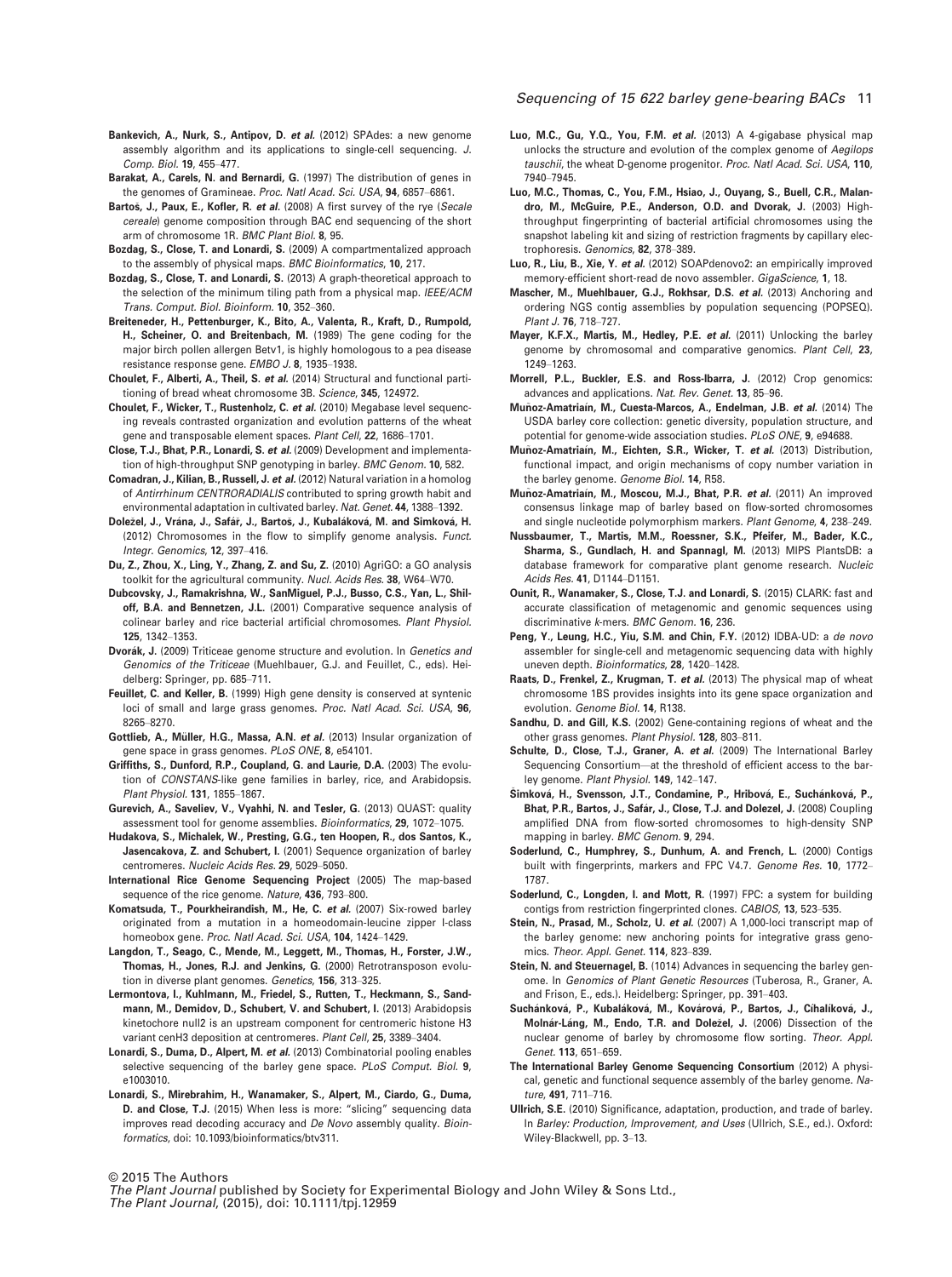- Bankevich, A., Nurk, S., Antipov, D. et al. (2012) SPAdes: a new genome assembly algorithm and its applications to single-cell sequencing. J. Comp. Biol. 19, 455–477.
- Barakat, A., Carels, N. and Bernardi, G. (1997) The distribution of genes in the genomes of Gramineae. Proc. Natl Acad. Sci. USA, 94, 6857–6861.
- Bartos, J., Paux, E., Kofler, R. et al. (2008) A first survey of the rye (Secale cereale) genome composition through BAC end sequencing of the short arm of chromosome 1R. BMC Plant Biol. 8, 95.
- Bozdag, S., Close, T. and Lonardi, S. (2009) A compartmentalized approach to the assembly of physical maps. BMC Bioinformatics, 10, 217.
- Bozdag, S., Close, T. and Lonardi, S. (2013) A graph-theoretical approach to the selection of the minimum tiling path from a physical map. IEEE/ACM Trans. Comput. Biol. Bioinform. 10, 352–360.
- Breiteneder, H., Pettenburger, K., Bito, A., Valenta, R., Kraft, D., Rumpold, H., Scheiner, O. and Breitenbach, M. (1989) The gene coding for the major birch pollen allergen Betv1, is highly homologous to a pea disease resistance response gene. EMBO J. 8, 1935–1938.
- Choulet, F., Alberti, A., Theil, S. et al. (2014) Structural and functional partitioning of bread wheat chromosome 3B. Science, 345, 124972.

Choulet, F., Wicker, T., Rustenholz, C. et al. (2010) Megabase level sequencing reveals contrasted organization and evolution patterns of the wheat gene and transposable element spaces. Plant Cell, 22, 1686–1701.

- Close, T.J., Bhat, P.R., Lonardi, S. et al. (2009) Development and implementation of high-throughput SNP genotyping in barley. BMC Genom. 10, 582.
- Comadran, J., Kilian, B., Russell, J. et al. (2012) Natural variation in a homolog of Antirrhinum CENTRORADIALIS contributed to spring growth habit and environmental adaptation in cultivated barley. Nat. Genet. 44, 1388–1392.
- Doležel, J., Vrána, J., Safář, J., Bartoš, J., Kubaláková, M. and Simková, H. (2012) Chromosomes in the flow to simplify genome analysis. Funct. Integr. Genomics, 12, 397–416.
- Du, Z., Zhou, X., Ling, Y., Zhang, Z. and Su, Z. (2010) AgriGO: a GO analysis toolkit for the agricultural community. Nucl. Acids Res. 38, W64–W70.
- Dubcovsky, J., Ramakrishna, W., SanMiguel, P.J., Busso, C.S., Yan, L., Shiloff, B.A. and Bennetzen, J.L. (2001) Comparative sequence analysis of colinear barley and rice bacterial artificial chromosomes. Plant Physiol. 125, 1342–1353.
- Dvorák, J. (2009) Triticeae genome structure and evolution. In Genetics and Genomics of the Triticeae (Muehlbauer, G.J. and Feuillet, C., eds). Heidelberg: Springer, pp. 685–711.
- Feuillet, C. and Keller, B. (1999) High gene density is conserved at syntenic loci of small and large grass genomes. Proc. Natl Acad. Sci. USA, 96, 8265–8270.
- Gottlieb, A., Müller, H.G., Massa, A.N. et al. (2013) Insular organization of gene space in grass genomes. PLoS ONE, 8, e54101.
- Griffiths, S., Dunford, R.P., Coupland, G. and Laurie, D.A. (2003) The evolution of CONSTANS-like gene families in barley, rice, and Arabidopsis. Plant Physiol. 131, 1855–1867.
- Gurevich, A., Saveliev, V., Vyahhi, N. and Tesler, G. (2013) QUAST: quality assessment tool for genome assemblies. Bioinformatics, 29, 1072–1075.
- Hudakova, S., Michalek, W., Presting, G.G., ten Hoopen, R., dos Santos, K., Jasencakova, Z. and Schubert, I. (2001) Sequence organization of barley centromeres. Nucleic Acids Res. 29, 5029–5050.
- International Rice Genome Sequencing Project (2005) The map-based sequence of the rice genome. Nature, 436, 793-800.
- Komatsuda, T., Pourkheirandish, M., He, C. et al. (2007) Six-rowed barley originated from a mutation in a homeodomain-leucine zipper I-class homeobox gene. Proc. Natl Acad. Sci. USA, 104, 1424–1429.
- Langdon, T., Seago, C., Mende, M., Leggett, M., Thomas, H., Forster, J.W., Thomas, H., Jones, R.J. and Jenkins, G. (2000) Retrotransposon evolution in diverse plant genomes. Genetics, 156, 313-325.
- Lermontova, I., Kuhlmann, M., Friedel, S., Rutten, T., Heckmann, S., Sandmann, M., Demidov, D., Schubert, V. and Schubert, I. (2013) Arabidopsis kinetochore null2 is an upstream component for centromeric histone H3 variant cenH3 deposition at centromeres. Plant Cell, 25, 3389–3404.
- Lonardi, S., Duma, D., Alpert, M. et al. (2013) Combinatorial pooling enables selective sequencing of the barley gene space. PLoS Comput. Biol. 9, e1003010.
- Lonardi, S., Mirebrahim, H., Wanamaker, S., Alpert, M., Ciardo, G., Duma, D. and Close, T.J. (2015) When less is more: "slicing" sequencing data improves read decoding accuracy and De Novo assembly quality. Bioinformatics, doi: [10.1093/bioinformatics/btv311](info:doi/10.1093/bioinformatics/btv311).

## Sequencing of 15 622 barley gene-bearing BACs 11

- Luo, M.C., Gu, Y.Q., You, F.M. et al. (2013) A 4-gigabase physical map unlocks the structure and evolution of the complex genome of Aegilops tauschii, the wheat D-genome progenitor. Proc. Natl Acad. Sci. USA, 110, 7940–7945.
- Luo, M.C., Thomas, C., You, F.M., Hsiao, J., Ouyang, S., Buell, C.R., Malandro, M., McGuire, P.E., Anderson, O.D. and Dvorak, J. (2003) Highthroughput fingerprinting of bacterial artificial chromosomes using the snapshot labeling kit and sizing of restriction fragments by capillary electrophoresis. Genomics, 82, 378–389.
- Luo, R., Liu, B., Xie, Y. et al. (2012) SOAPdenovo2: an empirically improved memory-efficient short-read de novo assembler. GigaScience, 1, 18.
- Mascher, M., Muehlbauer, G.J., Rokhsar, D.S. et al. (2013) Anchoring and ordering NGS contig assemblies by population sequencing (POPSEQ). Plant J. 76, 718–727.
- Mayer, K.F.X., Martis, M., Hedley, P.E. et al. (2011) Unlocking the barley genome by chromosomal and comparative genomics. Plant Cell, 23, 1249–1263.
- Morrell, P.L., Buckler, E.S. and Ross-Ibarra, J. (2012) Crop genomics: advances and applications. Nat. Rev. Genet. 13, 85–96.
- Muñoz-Amatriaín, M., Cuesta-Marcos, A., Endelman, J.B. et al. (2014) The USDA barley core collection: genetic diversity, population structure, and potential for genome-wide association studies. PLoS ONE, 9, e94688.
- Muñoz-Amatriaín, M., Eichten, S.R., Wicker, T. et al. (2013) Distribution, functional impact, and origin mechanisms of copy number variation in the barley genome. Genome Biol. 14, R58.
- Muñoz-Amatriaín, M., Moscou, M.J., Bhat, P.R. et al. (2011) An improved consensus linkage map of barley based on flow-sorted chromosomes and single nucleotide polymorphism markers. Plant Genome, 4, 238–249.
- Nussbaumer, T., Martis, M.M., Roessner, S.K., Pfeifer, M., Bader, K.C., Sharma, S., Gundlach, H. and Spannagl, M. (2013) MIPS PlantsDB: a database framework for comparative plant genome research. Nucleic Acids Res. 41, D1144–D1151.
- Ounit, R., Wanamaker, S., Close, T.J. and Lonardi, S. (2015) CLARK: fast and accurate classification of metagenomic and genomic sequences using discriminative k-mers. BMC Genom. 16, 236.
- Peng, Y., Leung, H.C., Yiu, S.M. and Chin, F.Y. (2012) IDBA-UD: a de novo assembler for single-cell and metagenomic sequencing data with highly uneven depth. Bioinformatics, 28, 1420–1428.
- Raats, D., Frenkel, Z., Krugman, T. et al. (2013) The physical map of wheat chromosome 1BS provides insights into its gene space organization and evolution. Genome Biol. 14, R138.
- Sandhu, D. and Gill, K.S. (2002) Gene-containing regions of wheat and the other grass genomes. Plant Physiol. 128, 803–811.
- Schulte, D., Close, T.J., Graner, A. et al. (2009) The International Barley Sequencing Consortium—at the threshold of efficient access to the barley genome. Plant Physiol. 149, 142–147.
- Šimková, H., Svensson, J.T., Condamine, P., Hribová, E., Suchánková, P., Bhat, P.R., Bartos, J., Safár, J., Close, T.J. and Dolezel, J. (2008) Coupling amplified DNA from flow-sorted chromosomes to high-density SNP mapping in barley. BMC Genom. 9, 294.
- Soderlund, C., Humphrey, S., Dunhum, A. and French, L. (2000) Contigs built with fingerprints, markers and FPC V4.7. Genome Res. 10, 1772-1787.
- Soderlund, C., Longden, I. and Mott, R. (1997) FPC: a system for building contigs from restriction fingerprinted clones. CABIOS, 13, 523–535.
- Stein, N., Prasad, M., Scholz, U. et al. (2007) A 1,000-loci transcript map of the barley genome: new anchoring points for integrative grass genomics. Theor. Appl. Genet. 114, 823–839.
- Stein, N. and Steuernagel, B. (1014) Advances in sequencing the barley genome. In Genomics of Plant Genetic Resources (Tuberosa, R., Graner, A. and Frison, E., eds.). Heidelberg: Springer, pp. 391–403.
- Suchánková, P., Kubaláková, M., Kovárová, P., Bartos, J., Cíhalíková, J., Molnár-Láng, M., Endo, T.R. and Doležel, J. (2006) Dissection of the nuclear genome of barley by chromosome flow sorting. Theor. Appl. Genet. 113, 651–659.
- The International Barley Genome Sequencing Consortium (2012) A physical, genetic and functional sequence assembly of the barley genome. Nature, 491, 711–716.
- Ullrich, S.E. (2010) Significance, adaptation, production, and trade of barley. In Barley: Production, Improvement, and Uses (Ullrich, S.E., ed.). Oxford: Wiley-Blackwell, pp. 3–13.

© 2015 The Authors

The Plant Journal published by Society for Experimental Biology and John Wiley & Sons Ltd., The Plant Journal, (2015), doi: 10.1111/tpj.12959